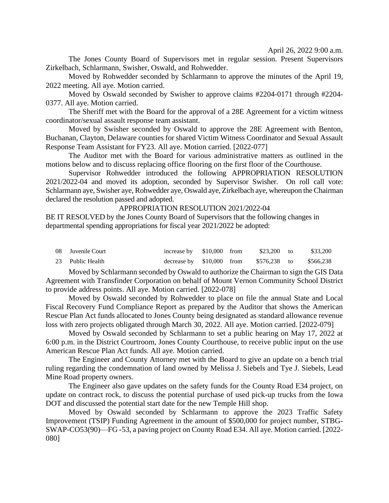April 26, 2022 9:00 a.m.

The Jones County Board of Supervisors met in regular session. Present Supervisors Zirkelbach, Schlarmann, Swisher, Oswald, and Rohwedder.

Moved by Rohwedder seconded by Schlarmann to approve the minutes of the April 19, 2022 meeting. All aye. Motion carried.

Moved by Oswald seconded by Swisher to approve claims #2204-0171 through #2204- 0377. All aye. Motion carried.

The Sheriff met with the Board for the approval of a 28E Agreement for a victim witness coordinator/sexual assault response team assistant.

Moved by Swisher seconded by Oswald to approve the 28E Agreement with Benton, Buchanan, Clayton, Delaware counties for shared Victim Witness Coordinator and Sexual Assault Response Team Assistant for FY23. All aye. Motion carried. [2022-077]

The Auditor met with the Board for various administrative matters as outlined in the motions below and to discuss replacing office flooring on the first floor of the Courthouse.

Supervisor Rohwedder introduced the following APPROPRIATION RESOLUTION 2021/2022-04 and moved its adoption, seconded by Supervisor Swisher. On roll call vote: Schlarmann aye, Swisher aye, Rohwedder aye, Oswald aye, Zirkelbach aye, whereupon the Chairman declared the resolution passed and adopted.

APPROPRIATION RESOLUTION 2021/2022-04

BE IT RESOLVED by the Jones County Board of Supervisors that the following changes in departmental spending appropriations for fiscal year 2021/2022 be adopted:

| 08 Juvenile Court | increase by $$10,000$ from |  | $$23.200$ to | \$33.200  |
|-------------------|----------------------------|--|--------------|-----------|
| 23 Public Health  | decrease by $$10,000$ from |  | \$576,238 to | \$566.238 |

Moved by Schlarmann seconded by Oswald to authorize the Chairman to sign the GIS Data Agreement with Transfinder Corporation on behalf of Mount Vernon Community School District to provide address points. All aye. Motion carried. [2022-078]

Moved by Oswald seconded by Rohwedder to place on file the annual State and Local Fiscal Recovery Fund Compliance Report as prepared by the Auditor that shows the American Rescue Plan Act funds allocated to Jones County being designated as standard allowance revenue loss with zero projects obligated through March 30, 2022. All aye. Motion carried. [2022-079]

Moved by Oswald seconded by Schlarmann to set a public hearing on May 17, 2022 at 6:00 p.m. in the District Courtroom, Jones County Courthouse, to receive public input on the use American Rescue Plan Act funds. All aye. Motion carried.

The Engineer and County Attorney met with the Board to give an update on a bench trial ruling regarding the condemnation of land owned by Melissa J. Siebels and Tye J. Siebels, Lead Mine Road property owners.

The Engineer also gave updates on the safety funds for the County Road E34 project, on update on contract rock, to discuss the potential purchase of used pick-up trucks from the Iowa DOT and discussed the potential start date for the new Temple Hill shop.

Moved by Oswald seconded by Schlarmann to approve the 2023 Traffic Safety Improvement (TSIP) Funding Agreement in the amount of \$500,000 for project number, STBG-SWAP-CO53(90)—FG -53, a paving project on County Road E34. All aye. Motion carried. [2022- 080]